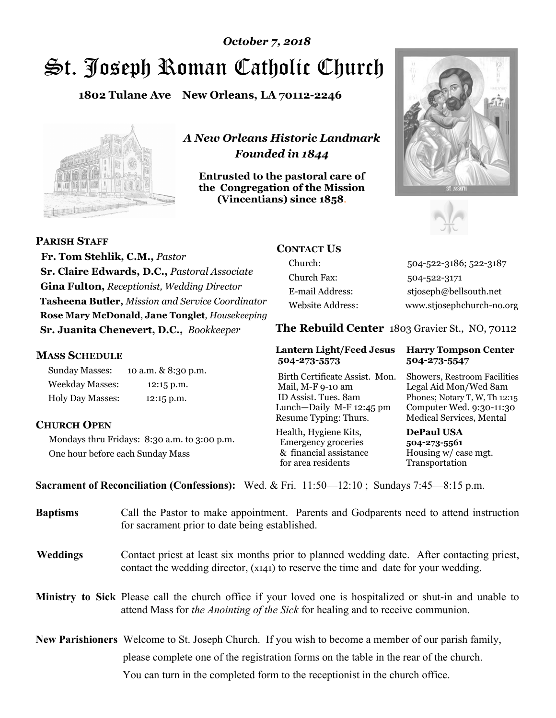# St. Joseph Roman Catholic Church *October 7, 2018*

**1802 Tulane Ave New Orleans, LA 70112-2246**



*A New Orleans Historic Landmark Founded in 1844* 

**Entrusted to the pastoral care of the Congregation of the Mission (Vincentians) since 1858**.





**PARISH STAFF**

 **Fr. Tom Stehlik, C.M.,** *Pastor* **Sr. Claire Edwards, D.C.,** *Pastoral Associate* **Gina Fulton,** *Receptionist, Wedding Director* **Tasheena Butler,** *Mission and Service Coordinator* **Rose Mary McDonald**, **Jane Tonglet**, *Housekeeping* **Sr. Juanita Chenevert, D.C.,** *Bookkeeper* 

#### **MASS SCHEDULE**

Sunday Masses: 10 a.m. & 8:30 p.m. Weekday Masses: 12:15 p.m. Holy Day Masses: 12:15 p.m.

#### **CHURCH OPEN**

Mondays thru Fridays: 8:30 a.m. to 3:00 p.m. One hour before each Sunday Mass

# **CONTACT US**

Church: 504-522-3186; 522-3187 Church Fax: 504-522-3171 E-mail Address: stjoseph@bellsouth.net Website Address: www.stjosephchurch-no.org

**The Rebuild Center** 1803 Gravier St., NO, 70112

#### **Lantern Light/Feed Jesus Harry Tompson Center 504-273-5573 504-273-5547**

Birth Certificate Assist. Mon. Showers, Restroom Facilities Mail, M-F 9-10 am Legal Aid Mon/Wed 8am ID Assist. Tues. 8am Phones; Notary T, W, Th 12:15 Lunch—Daily M-F 12:45 pm Computer Wed. 9:30-11:30 Resume Typing: Thurs. Medical Services, Mental

Health, Hygiene Kits, **DePaul USA**  Emergency groceries **504-273-5561** & financial assistance Housing w/ case mgt.<br>for area residents Transportation for area residents

**Sacrament of Reconciliation (Confessions):** Wed. & Fri. 11:50—12:10 ; Sundays 7:45—8:15 p.m.

| <b>Baptisms</b> | Call the Pastor to make appointment. Parents and Godparents need to attend instruction<br>for sacrament prior to date being established.                                                            |
|-----------------|-----------------------------------------------------------------------------------------------------------------------------------------------------------------------------------------------------|
| <b>Weddings</b> | Contact priest at least six months prior to planned wedding date. After contacting priest,<br>contact the wedding director, (x141) to reserve the time and date for your wedding.                   |
|                 | Ministry to Sick Please call the church office if your loved one is hospitalized or shut-in and unable to<br>attend Mass for <i>the Anointing of the Sick</i> for healing and to receive communion. |
|                 | <b>New Parishioners</b> Welcome to St. Joseph Church. If you wish to become a member of our parish family,                                                                                          |
|                 | please complete one of the registration forms on the table in the rear of the church.                                                                                                               |
|                 | You can turn in the completed form to the reception is the church office.                                                                                                                           |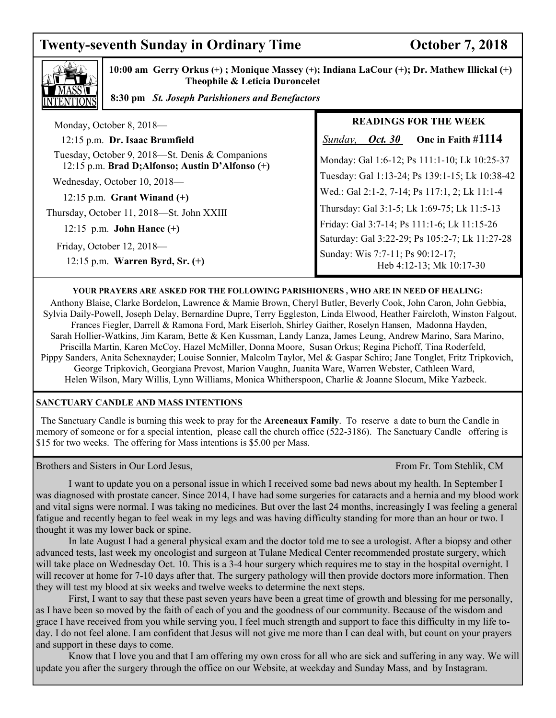# **Twenty-seventh Sunday in Ordinary Time Concrete Contract October 7, 2018**



 **10:00 am Gerry Orkus (+) ; Monique Massey (+); Indiana LaCour (+); Dr. Mathew Illickal (+) Theophile & Leticia Duroncelet** 

 **8:30 pm** *St. Joseph Parishioners and Benefactors*

| Monday, October 8, 2018-                                                                            | <b>READINGS FOR THE WEEK</b>                                 |
|-----------------------------------------------------------------------------------------------------|--------------------------------------------------------------|
| 12:15 p.m. Dr. Isaac Brumfield                                                                      | One in Faith #1114<br>Oct. 30<br>Sunday,                     |
| Tuesday, October 9, 2018—St. Denis & Companions<br>12:15 p.m. Brad D; Alfonso; Austin D'Alfonso (+) | Monday: Gal 1:6-12; Ps 111:1-10; Lk 10:25-37                 |
| Wednesday, October 10, 2018-                                                                        | Tuesday: Gal 1:13-24; Ps 139:1-15; Lk 10:38-42               |
| 12:15 p.m. Grant Winand $(+)$                                                                       | Wed.: Gal 2:1-2, 7-14; Ps 117:1, 2; Lk 11:1-4                |
| Thursday, October 11, 2018-St. John XXIII                                                           | Thursday: Gal 3:1-5; Lk 1:69-75; Lk 11:5-13                  |
| 12:15 p.m. <b>John Hance</b> $(+)$                                                                  | Friday: Gal 3:7-14; Ps 111:1-6; Lk 11:15-26                  |
|                                                                                                     | Saturday: Gal 3:22-29; Ps 105:2-7; Lk 11:27-28               |
| Friday, October 12, 2018-<br>12:15 p.m. Warren Byrd, Sr. $(+)$                                      | Sunday: Wis 7:7-11; Ps 90:12-17;<br>Heb 4:12-13; Mk 10:17-30 |

#### **YOUR PRAYERS ARE ASKED FOR THE FOLLOWING PARISHIONERS , WHO ARE IN NEED OF HEALING:**

 Anthony Blaise, Clarke Bordelon, Lawrence & Mamie Brown, Cheryl Butler, Beverly Cook, John Caron, John Gebbia, Sylvia Daily-Powell, Joseph Delay, Bernardine Dupre, Terry Eggleston, Linda Elwood, Heather Faircloth, Winston Falgout, Frances Fiegler, Darrell & Ramona Ford, Mark Eiserloh, Shirley Gaither, Roselyn Hansen, Madonna Hayden, Sarah Hollier-Watkins, Jim Karam, Bette & Ken Kussman, Landy Lanza, James Leung, Andrew Marino, Sara Marino, Priscilla Martin, Karen McCoy, Hazel McMiller, Donna Moore, Susan Orkus; Regina Pichoff, Tina Roderfeld, Pippy Sanders, Anita Schexnayder; Louise Sonnier, Malcolm Taylor, Mel & Gaspar Schiro; Jane Tonglet, Fritz Tripkovich, George Tripkovich, Georgiana Prevost, Marion Vaughn, Juanita Ware, Warren Webster, Cathleen Ward, Helen Wilson, Mary Willis, Lynn Williams, Monica Whitherspoon, Charlie & Joanne Slocum, Mike Yazbeck.

#### **SANCTUARY CANDLE AND MASS INTENTIONS**

 The Sanctuary Candle is burning this week to pray for the **Arceneaux Family**. To reserve a date to burn the Candle in memory of someone or for a special intention, please call the church office (522-3186). The Sanctuary Candle offering is \$15 for two weeks. The offering for Mass intentions is \$5.00 per Mass.

Brothers and Sisters in Our Lord Jesus, The Stephen Control of the Stephen Control of the Stephen Fr. Tom Stehlik, CM

 I want to update you on a personal issue in which I received some bad news about my health. In September I was diagnosed with prostate cancer. Since 2014, I have had some surgeries for cataracts and a hernia and my blood work and vital signs were normal. I was taking no medicines. But over the last 24 months, increasingly I was feeling a general fatigue and recently began to feel weak in my legs and was having difficulty standing for more than an hour or two. I thought it was my lower back or spine.

 In late August I had a general physical exam and the doctor told me to see a urologist. After a biopsy and other advanced tests, last week my oncologist and surgeon at Tulane Medical Center recommended prostate surgery, which will take place on Wednesday Oct. 10. This is a 3-4 hour surgery which requires me to stay in the hospital overnight. I will recover at home for 7-10 days after that. The surgery pathology will then provide doctors more information. Then they will test my blood at six weeks and twelve weeks to determine the next steps.

 First, I want to say that these past seven years have been a great time of growth and blessing for me personally, as I have been so moved by the faith of each of you and the goodness of our community. Because of the wisdom and grace I have received from you while serving you, I feel much strength and support to face this difficulty in my life today. I do not feel alone. I am confident that Jesus will not give me more than I can deal with, but count on your prayers and support in these days to come.

 Know that I love you and that I am offering my own cross for all who are sick and suffering in any way. We will update you after the surgery through the office on our Website, at weekday and Sunday Mass, and by Instagram.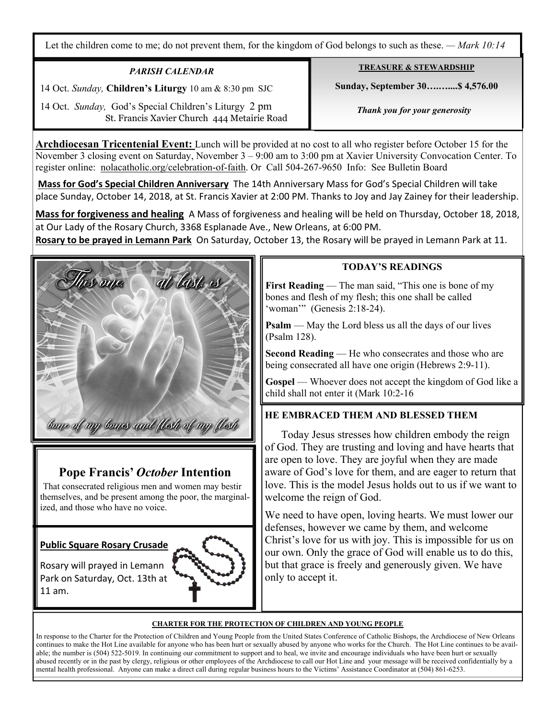Let the children come to me; do not prevent them, for the kingdom of God belongs to such as these. *— Mark 10:14*

### *PARISH CALENDAR*

at last is

14 Oct. *Sunday,* **Children's Liturgy** 10 am & 8:30 pm SJC

 14 Oct. *Sunday,* God's Special Children's Liturgy 2 pm St. Francis Xavier Church 444 Metairie Road

**Archdiocesan Tricentenial Event:** Lunch will be provided at no cost to all who register before October 15 for the November 3 closing event on Saturday, November 3 – 9:00 am to 3:00 pm at Xavier University Convocation Center. To register online: nolacatholic.org/celebration-of-faith. Or Call 504-267-9650 Info: See Bulletin Board

**Mass for God's Special Children Anniversary** The 14th Anniversary Mass for God's Special Children will take place Sunday, October 14, 2018, at St. Francis Xavier at 2:00 PM. Thanks to Joy and Jay Zainey for their leadership.

**Mass for forgiveness and healing** A Mass of forgiveness and healing will be held on Thursday, October 18, 2018, at Our Lady of the Rosary Church, 3368 Esplanade Ave., New Orleans, at 6:00 PM.

**Rosary to be prayed in Lemann Park** On Saturday, October 13, the Rosary will be prayed in Lemann Park at 11.



# **Pope Francis'** *October* **Intention**

That consecrated religious men and women may bestir themselves, and be present among the poor, the marginalized, and those who have no voice.

**Public Square Rosary Crusade** 

is one.

Rosary will prayed in Lemann Park on Saturday, Oct. 13th at 11 am.



### **TODAY'S READINGS**

**TREASURE & STEWARDSHIP Sunday, September 30….…....\$ 4,576.00** 

 *Thank you for your generosity* 

**First Reading** — The man said, "This one is bone of my bones and flesh of my flesh; this one shall be called 'woman'" (Genesis 2:18-24).

**Psalm** — May the Lord bless us all the days of our lives (Psalm 128).

**Second Reading** — He who consecrates and those who are being consecrated all have one origin (Hebrews 2:9-11).

**Gospel** — Whoever does not accept the kingdom of God like a child shall not enter it (Mark 10:2-16

# **HE EMBRACED THEM AND BLESSED THEM**

 Today Jesus stresses how children embody the reign of God. They are trusting and loving and have hearts that are open to love. They are joyful when they are made aware of God's love for them, and are eager to return that love. This is the model Jesus holds out to us if we want to welcome the reign of God.

We need to have open, loving hearts. We must lower our defenses, however we came by them, and welcome Christ's love for us with joy. This is impossible for us on our own. Only the grace of God will enable us to do this, but that grace is freely and generously given. We have only to accept it.

#### **CHARTER FOR THE PROTECTION OF CHILDREN AND YOUNG PEOPLE**

In response to the Charter for the Protection of Children and Young People from the United States Conference of Catholic Bishops, the Archdiocese of New Orleans continues to make the Hot Line available for anyone who has been hurt or sexually abused by anyone who works for the Church. The Hot Line continues to be available; the number is (504) 522-5019. In continuing our commitment to support and to heal, we invite and encourage individuals who have been hurt or sexually abused recently or in the past by clergy, religious or other employees of the Archdiocese to call our Hot Line and your message will be received confidentially by a mental health professional. Anyone can make a direct call during regular business hours to the Victims' Assistance Coordinator at (504) 861-6253.